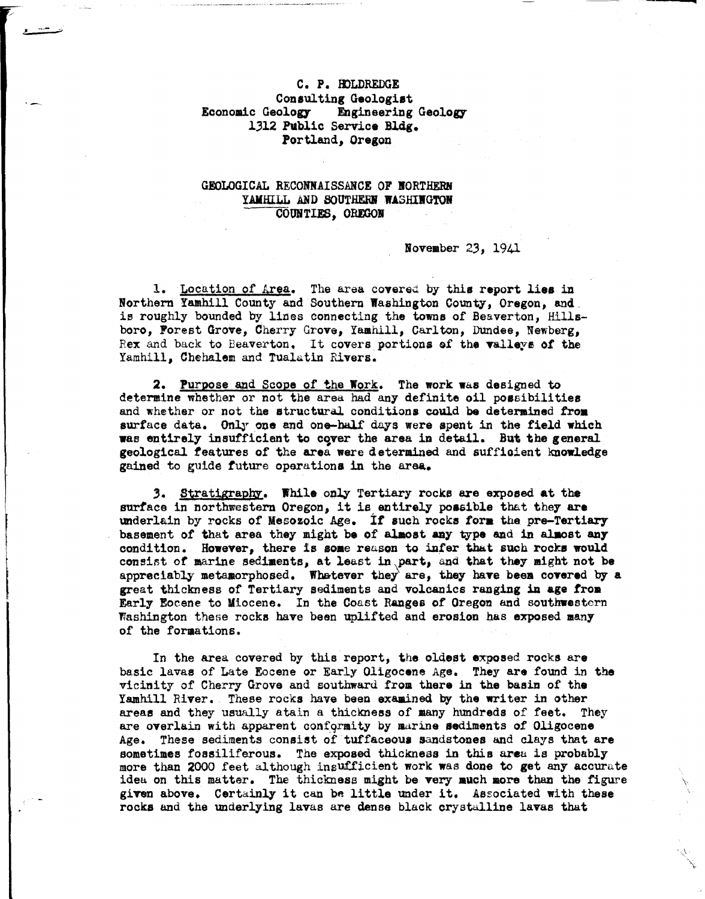## C. P. IDLDREDGE Consulting Geologist<br>Economic Geology Engineering Engineering Geology 1312 Public Service Bldg. Portland, Oregon

## GEOLOGICAL RECONNAISSANCE OF NORTHERM YAMHILL AND SOUTHERN WASHINGTON COUNTIES. OREGON

## November 23, 1941

1. Location of Area. The area covered by this report lies in Northern Yamhill County and Southern Washington County, Oregon, and. is roughly bounded by lines connecting the towns of Beaverton, Hillsboro, Forest Grove, Cherry Grove, Yamhill, Carlton, Dundee, Newberg, Rex and back to Beaverton. It covers portions of the valleys of the Yamhill, Chehalem and Tualatin Rivers.

2. Purpose and Scope of the Work. The work was designed to determine whether or not the area had any definite oil possibilities and whether or not the structural conditions could be deterained **troa**  surface data. Only one and one-half days were spent in the field which was entirely insufficient to cover the area in detail. But the general geological features of the area were determined and sufficient knowledge gained to guide future operations in the area.

*3.* Stratigrapm:. **While** onlJr Tertiary rocks a.re exposed at the surface in northwestern Oregon, it is entirely poasible that they **are**  underlain by rocks of Mesozoic Age. *it* auch rocks **fora** the pre-Tertiary basement of that area they might be of almost any type and in almost any condition. However, there is aoae reason to infer that such rocks would consist of marine sediments, at least in part, and that they might not be appreciably metamorphosed. Whatever they are, they have been covered by a great thickness of Tertiary sediments and volcanics rauging in **age from**  Early Eocene to Miocene. In the Coast **Ranges** of Oregon and southwestern Washington these rocks have been Uplifted and erosion has **exposed many**  of the formations.

In the area covered by this report, the oldest exposed rocks are basic lavas of Late Eocene or Early Oligocene Age. They are found in the vicinity of Cherry Grove and southward from there in **the basin** of **the**  Yamhill River. These rocks have been examined by the writer in other areas and they usually atain a thickness of many hundreds of feet. They are overlain with apparent conformity by marine sediments of Oligocene Age. These sediments consist of tuffaceoua sandstones and alays that are sometimes fossiliferous. The exposed thickness in this areu is probably more than 2000 feet although insufficient work was done to get any accurate idea on this matter. The thickness might be very **auch aore** than the figure \ given above. Certainly it can be little under it. Associated with these rocks and the underlying lavas are dense black crystalline lavas that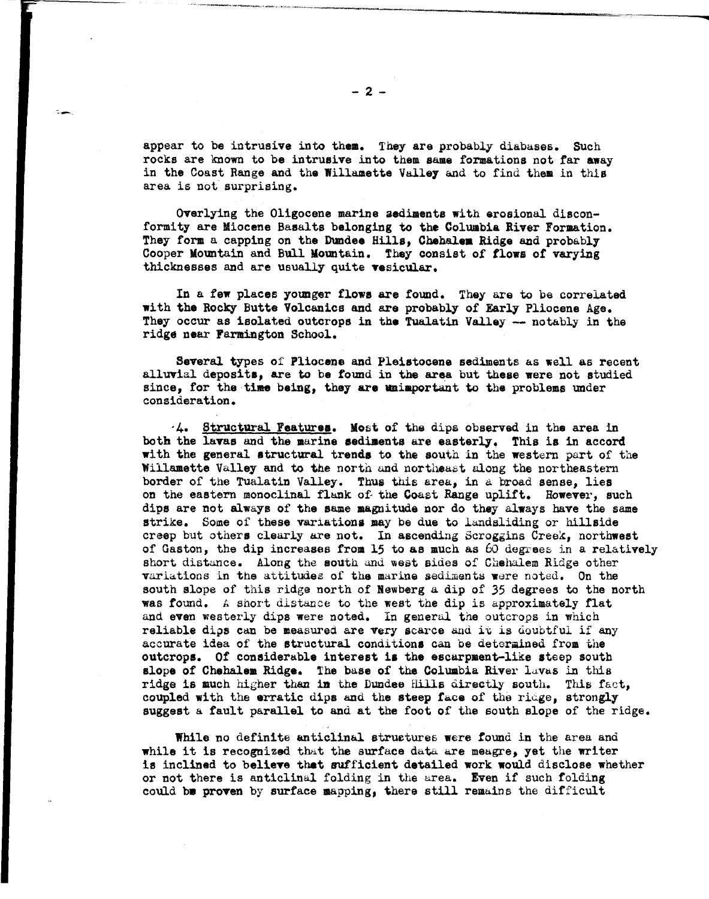appear to be intrusive into them. They are probably diabases. Such rocks are known to be intrusive into them same formations not far away in the Coast Range and the Willamette Valley and to find them in this area is not surprising.

Overlying the Oligocene marine aediments with erosional disconformity are Miocene Basalts belonging to the Columbia River Formation. They form a capping on the Dundee Hills, Chehalem Ridge and probably Cooper Mountain and Bull Mountain. They consist of **flows** of varying thicknesses and are usually quite **vesicular.** 

In a few places younger flows are found. They are to be correlated with the Rocky Butte Volcanics and are probably of Early Pliocene Age. They occur as isolated outcrops in the Tualatin Valley -- notably in the ridge near Farmington School.

Several types of Pliocene and Pleistocene sediments as well as recent alluvial deposits, are to be found in the area but theae were not studied since, for the time being, they are unimportant to the problems under consideration.

-4. Structural Feature,. Most of the dips observed in the area in both the lavas and the marine sediments are easterly. This is in accord with the general structural trends to the south in the western part of the Willamette Valley and to the north and northeast along the northeastern border of the Tualatin Valley. Thus this area, in a broad sense, lies on the eastern monoclinal flank of the Coast Range uplift. However, such dips are not always of the same magnitude nor do they always have the same strike. Some of these variations may be due to landsliding or hillside creep but others clearly are not. In ascending Scroggins Creek, northwest of Gaston, the dip increases from 15 to as much as 60 degrees in a relatively short distance. Along the south and west sides of Chehalem Ridge other variations in the attitudes of the marine sediments were noted. On the south slope of this ridge north of Newberg a dip of *35* degrees to the north was found. A short distance to the west the dip is approximately flat and even westerly dips were noted. In general the outcrops in which reliable dips can be measured are very scarce and it is doubtful if any accurate idea of the structural conditions can be determined from the outcrops. Of considerable interest is the escarpment-like steep south slope of Chehalem Ridge. The base of the Columbia River lavas in this ridge is much higher than in the Dundee Hills directly south. This fact, coupled with the erratic dips and the steep face of the ridge, strongly suggest a fault parallel to and at the foot of the south slope of the ridge.

While no definite anticlinal structures were found in the area and while it is recognized that the surface data are meagre, yet the writer is inclined to believe that sufficient detailed work would disclose whether or not there is anticlinal folding in the urea. Even if such folding could be proven by surface mapping, there still remains the difficult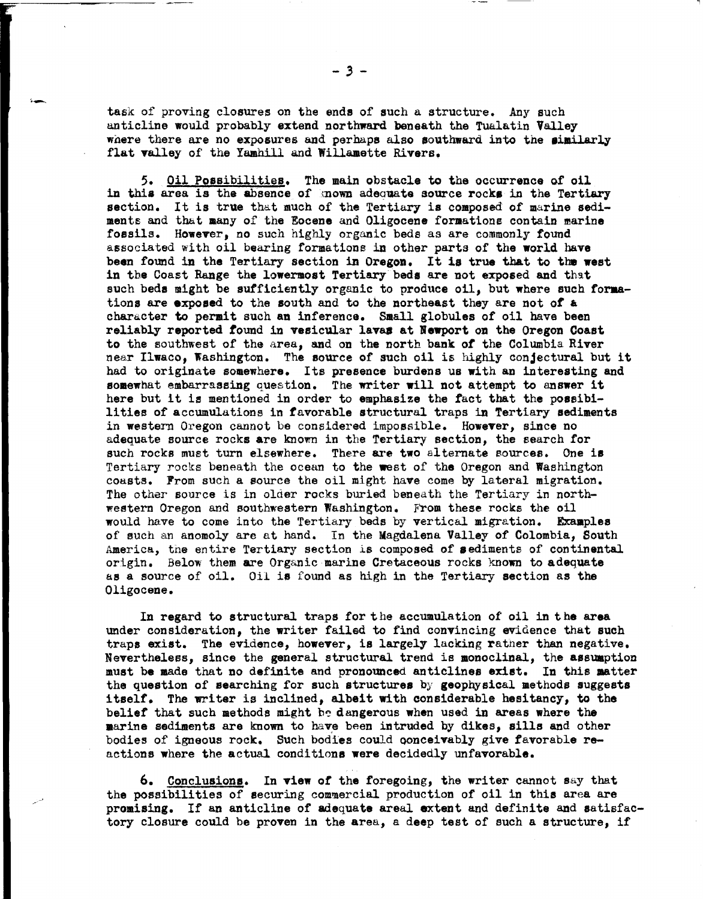task of proving closures on the ends of such a structure. Any such anticline would probably extend northward beneath the Tualatin Valley where there are no exposures and perhaps also southward into the similarly flat valley of the Yamhill and Willamette Rivers.

5. Oil Possibilities. The main obstacle to the occurrence of oil in this area is the absence of mown adequate source rocks in the Tertiary section. It is true that much of the Tertiary is composed of marine sediments and that many of the Eocene and Oligocene formations contain marine fossils. However, no such highly organic beds as are commonly found associated with oil bearing formations in other parts of the world have been found in the Tertiary section in Oregon. It is true that to the west in the Coast Range the lowermost Tertiary beds are not exposed and that such beds might be sufficiently organic to produce oil, but where such formationa are **exposed** to the south and to the northeast they are not of a character to permit such an inference. Small globules of oil have been reliably reported found in vesicular lavaa at **Newport** on the Oregon Coast to the southwest of the area, and on the north bank *of* the Columbia River near Ilwaco, Washington. The source of such oil is highly conjectural but it had to originate somewhere. Its presence burdens us with an interesting and somewhat embarrassing question. The writer will not attempt to answer it here but it is mentioned in order to emphasize the fact that the possibilities of accumulations in favorable structural traps in Tertiary sediments in western Oregon cannot be considered impossible. **However,** since no adequate source rocks **are** known in the Tertiary section, the search for such rocks must turn elsewhere. There **are two** alternate eources. One is Tertiary rocks beneath the ocean to the west of **the** Oregon and Washington coasts. From such a source the oil might have come by lateral migration. The other source is in older rocks buried beneath the Tertiary in northwestern Oregon and southwestern Washington. From these rocks the oil would have to come into the Tertiary beds by vertical migration. **Examples**  of such an anomoly are at hand. In the Magdalena Valley of Colombia, South America, the entire Tertiary section is composed of sediments of continental origin, Below them are Organic marine Cretaceous rocks known to adequate as a source of oil. Oil **is** found as high in the Tertiary section as the Oligocene.

In regard to structural traps for the accumulation of oil in the area under consideration, the writer failed to find convincing evidence that such traps exist. The evidence, however, is largely lacking rather than negative. Nevertheless, since the general structural trend is monoclinal, the assumption must be made that no definite and pronounced anticlines **exist. In** this aatter the question of searching for such structures by geophysical methods suggests itself. The writer is inclined, albeit with considerable hesitancy, to the belief that such methods might be dangerous when used in areas where the **marine** sediments are known to have been intruded by dikes, sills and other bodies of igneous rock. Such bodies could conceivably give favorable reactions where the actual conditions **were** decidedly unfavorable.

6. Conclusions. In view of the foregoing, the writer cannot say that the possibilities of securing commercial production of oil in this area are promising. If an anticline of adequate areal extent and definite and satisfactory closure could be proven in the area, a deep test of such a structure, if